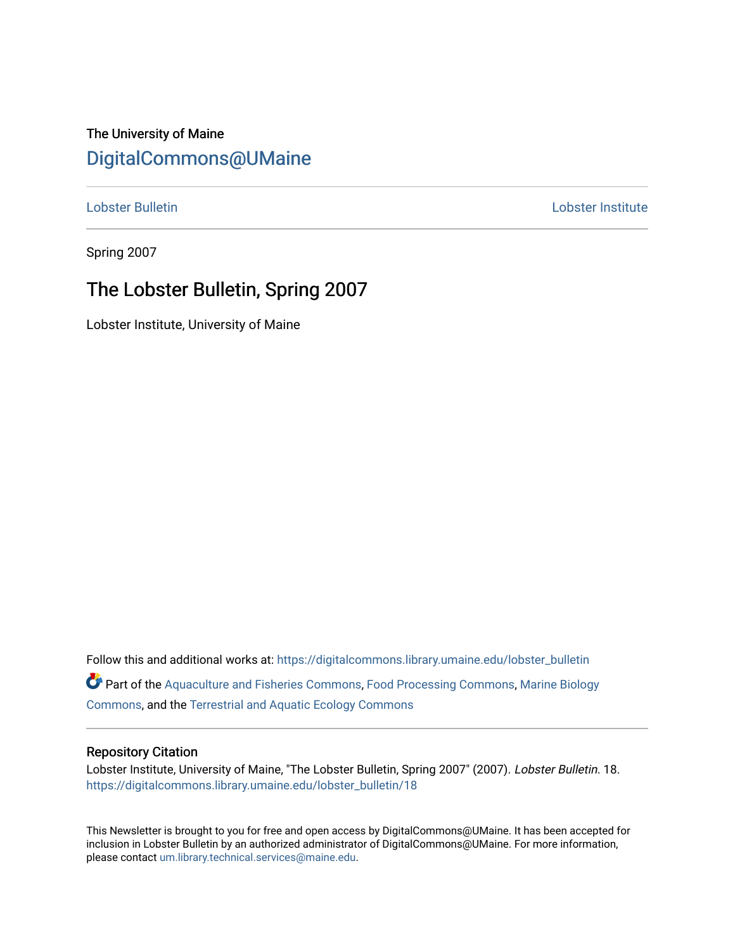### The University of Maine [DigitalCommons@UMaine](https://digitalcommons.library.umaine.edu/)

[Lobster Bulletin](https://digitalcommons.library.umaine.edu/lobster_bulletin) [Lobster Institute](https://digitalcommons.library.umaine.edu/lobster) 

Spring 2007

### The Lobster Bulletin, Spring 2007

Lobster Institute, University of Maine

Follow this and additional works at: [https://digitalcommons.library.umaine.edu/lobster\\_bulletin](https://digitalcommons.library.umaine.edu/lobster_bulletin?utm_source=digitalcommons.library.umaine.edu%2Flobster_bulletin%2F18&utm_medium=PDF&utm_campaign=PDFCoverPages) Part of the [Aquaculture and Fisheries Commons](http://network.bepress.com/hgg/discipline/78?utm_source=digitalcommons.library.umaine.edu%2Flobster_bulletin%2F18&utm_medium=PDF&utm_campaign=PDFCoverPages), [Food Processing Commons,](http://network.bepress.com/hgg/discipline/85?utm_source=digitalcommons.library.umaine.edu%2Flobster_bulletin%2F18&utm_medium=PDF&utm_campaign=PDFCoverPages) [Marine Biology](http://network.bepress.com/hgg/discipline/1126?utm_source=digitalcommons.library.umaine.edu%2Flobster_bulletin%2F18&utm_medium=PDF&utm_campaign=PDFCoverPages) [Commons](http://network.bepress.com/hgg/discipline/1126?utm_source=digitalcommons.library.umaine.edu%2Flobster_bulletin%2F18&utm_medium=PDF&utm_campaign=PDFCoverPages), and the [Terrestrial and Aquatic Ecology Commons](http://network.bepress.com/hgg/discipline/20?utm_source=digitalcommons.library.umaine.edu%2Flobster_bulletin%2F18&utm_medium=PDF&utm_campaign=PDFCoverPages) 

#### Repository Citation

Lobster Institute, University of Maine, "The Lobster Bulletin, Spring 2007" (2007). Lobster Bulletin. 18. [https://digitalcommons.library.umaine.edu/lobster\\_bulletin/18](https://digitalcommons.library.umaine.edu/lobster_bulletin/18?utm_source=digitalcommons.library.umaine.edu%2Flobster_bulletin%2F18&utm_medium=PDF&utm_campaign=PDFCoverPages) 

This Newsletter is brought to you for free and open access by DigitalCommons@UMaine. It has been accepted for inclusion in Lobster Bulletin by an authorized administrator of DigitalCommons@UMaine. For more information, please contact [um.library.technical.services@maine.edu.](mailto:um.library.technical.services@maine.edu)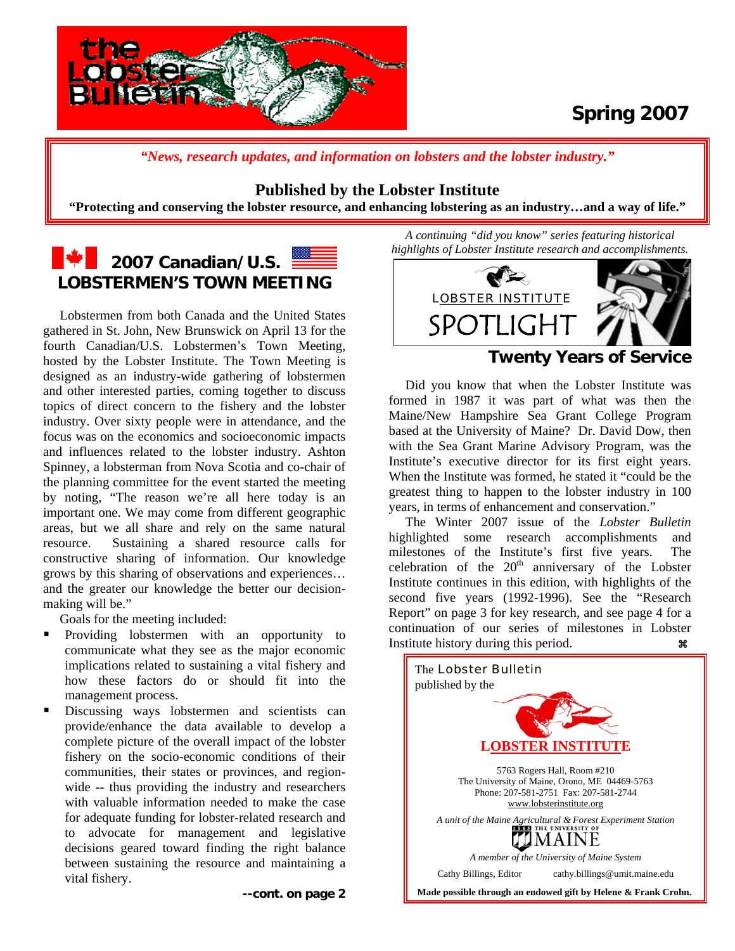

# **Spring 2007**

*"News, research updates, and information on lobsters and the lobster industry."*

### **Published by the Lobster Institute**

**"Protecting and conserving the lobster resource, and enhancing lobstering as an industry…and a way of life."** 

# **2007 Canadian/U.S. 2007 Canadian/U.S.** 2007 Canadian/U.S. 2008

 Lobstermen from both Canada and the United States gathered in St. John, New Brunswick on April 13 for the fourth Canadian/U.S. Lobstermen's Town Meeting, hosted by the Lobster Institute. The Town Meeting is designed as an industry-wide gathering of lobstermen and other interested parties, coming together to discuss topics of direct concern to the fishery and the lobster industry. Over sixty people were in attendance, and the focus was on the economics and socioeconomic impacts and influences related to the lobster industry. Ashton Spinney, a lobsterman from Nova Scotia and co-chair of the planning committee for the event started the meeting by noting, "The reason we're all here today is an important one. We may come from different geographic areas, but we all share and rely on the same natural resource. Sustaining a shared resource calls for constructive sharing of information. Our knowledge grows by this sharing of observations and experiences… and the greater our knowledge the better our decisionmaking will be."

Goals for the meeting included:

- Providing lobstermen with an opportunity to communicate what they see as the major economic implications related to sustaining a vital fishery and how these factors do or should fit into the management process.
- Discussing ways lobstermen and scientists can provide/enhance the data available to develop a complete picture of the overall impact of the lobster fishery on the socio-economic conditions of their communities, their states or provinces, and regionwide -- thus providing the industry and researchers with valuable information needed to make the case for adequate funding for lobster-related research and to advocate for management and legislative decisions geared toward finding the right balance between sustaining the resource and maintaining a vital fishery.

*A continuing "did you know" series featuring historical highlights of Lobster Institute research and accomplishments.* 



### **Twenty Years of Service**

 Did you know that when the Lobster Institute was formed in 1987 it was part of what was then the Maine/New Hampshire Sea Grant College Program based at the University of Maine? Dr. David Dow, then with the Sea Grant Marine Advisory Program, was the Institute's executive director for its first eight years. When the Institute was formed, he stated it "could be the greatest thing to happen to the lobster industry in 100 years, in terms of enhancement and conservation."

 The Winter 2007 issue of the *Lobster Bulletin*  highlighted some research accomplishments and milestones of the Institute's first five years. The celebration of the  $20<sup>th</sup>$  anniversary of the Lobster Institute continues in this edition, with highlights of the second five years (1992-1996). See the "Research Report" on page 3 for key research, and see page 4 for a continuation of our series of milestones in Lobster Institute history during this period.

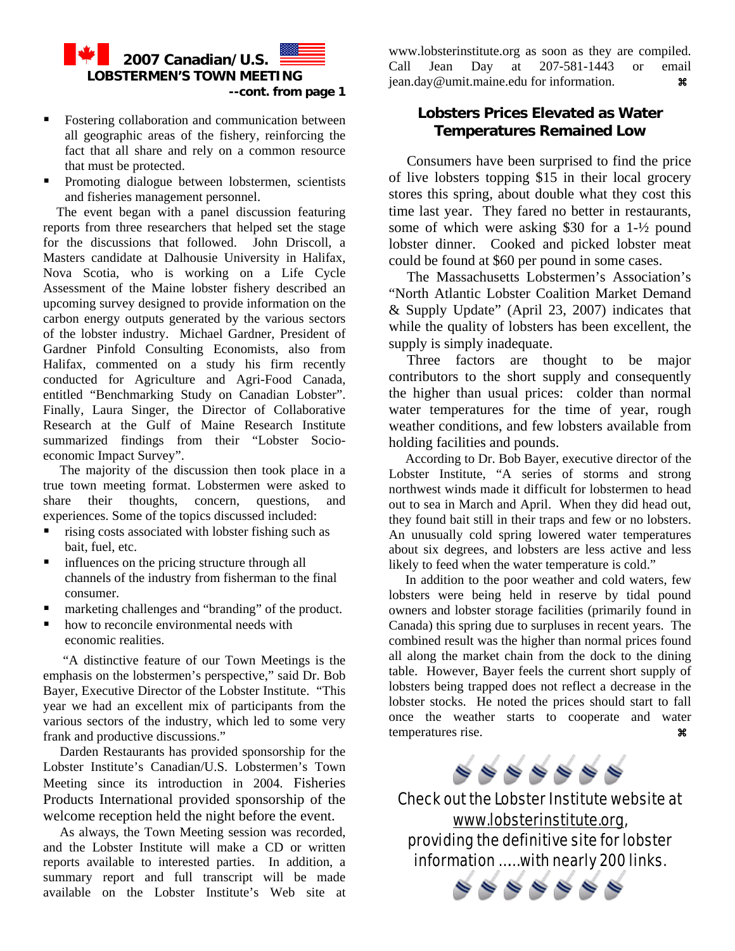

- **Fostering collaboration and communication between** all geographic areas of the fishery, reinforcing the fact that all share and rely on a common resource that must be protected.
- Promoting dialogue between lobstermen, scientists and fisheries management personnel.

 The event began with a panel discussion featuring reports from three researchers that helped set the stage for the discussions that followed. John Driscoll, a Masters candidate at Dalhousie University in Halifax, Nova Scotia, who is working on a Life Cycle Assessment of the Maine lobster fishery described an upcoming survey designed to provide information on the carbon energy outputs generated by the various sectors of the lobster industry. Michael Gardner, President of Gardner Pinfold Consulting Economists, also from Halifax, commented on a study his firm recently conducted for Agriculture and Agri-Food Canada, entitled "Benchmarking Study on Canadian Lobster". Finally, Laura Singer, the Director of Collaborative Research at the Gulf of Maine Research Institute summarized findings from their "Lobster Socioeconomic Impact Survey".

 The majority of the discussion then took place in a true town meeting format. Lobstermen were asked to share their thoughts, concern, questions, and experiences. Some of the topics discussed included:

- rising costs associated with lobster fishing such as bait, fuel, etc.
- **influences on the pricing structure through all** channels of the industry from fisherman to the final consumer.
- marketing challenges and "branding" of the product.
- how to reconcile environmental needs with economic realities.

 "A distinctive feature of our Town Meetings is the emphasis on the lobstermen's perspective," said Dr. Bob Bayer, Executive Director of the Lobster Institute. "This year we had an excellent mix of participants from the various sectors of the industry, which led to some very frank and productive discussions."

 Darden Restaurants has provided sponsorship for the Lobster Institute's Canadian/U.S. Lobstermen's Town Meeting since its introduction in 2004. Fisheries Products International provided sponsorship of the welcome reception held the night before the event.

 As always, the Town Meeting session was recorded, and the Lobster Institute will make a CD or written reports available to interested parties. In addition, a summary report and full transcript will be made available on the Lobster Institute's Web site at

[www.lobsterinstitute.org](http://www.lobsterinstitute.org/) as soon as they are compiled. Call Jean Day at 207-581-1443 or email [jean.day@umit.maine.edu](mailto:jean.day@umit.maine.edu) for information.  $\mathbf{\mathcal{F}}$ 

### **Lobsters Prices Elevated as Water Temperatures Remained Low**

Consumers have been surprised to find the price of live lobsters topping \$15 in their local grocery stores this spring, about double what they cost this time last year. They fared no better in restaurants, some of which were asking \$30 for a 1-½ pound lobster dinner. Cooked and picked lobster meat could be found at \$60 per pound in some cases.

 The Massachusetts Lobstermen's Association's "North Atlantic Lobster Coalition Market Demand & Supply Update" (April 23, 2007) indicates that while the quality of lobsters has been excellent, the supply is simply inadequate.

 Three factors are thought to be major contributors to the short supply and consequently the higher than usual prices: colder than normal water temperatures for the time of year, rough weather conditions, and few lobsters available from holding facilities and pounds.

 According to Dr. Bob Bayer, executive director of the Lobster Institute, "A series of storms and strong northwest winds made it difficult for lobstermen to head out to sea in March and April. When they did head out, they found bait still in their traps and few or no lobsters. An unusually cold spring lowered water temperatures about six degrees, and lobsters are less active and less likely to feed when the water temperature is cold."

 In addition to the poor weather and cold waters, few lobsters were being held in reserve by tidal pound owners and lobster storage facilities (primarily found in Canada) this spring due to surpluses in recent years. The combined result was the higher than normal prices found all along the market chain from the dock to the dining table. However, Bayer feels the current short supply of lobsters being trapped does not reflect a decrease in the lobster stocks. He noted the prices should start to fall once the weather starts to cooperate and water temperatures rise. a



Check out the Lobster Institute website at [www.lobsterinstitute.org](http://www.lobsterinstitute.org/), providing the definitive site for lobster information …… with nearly 200 links.

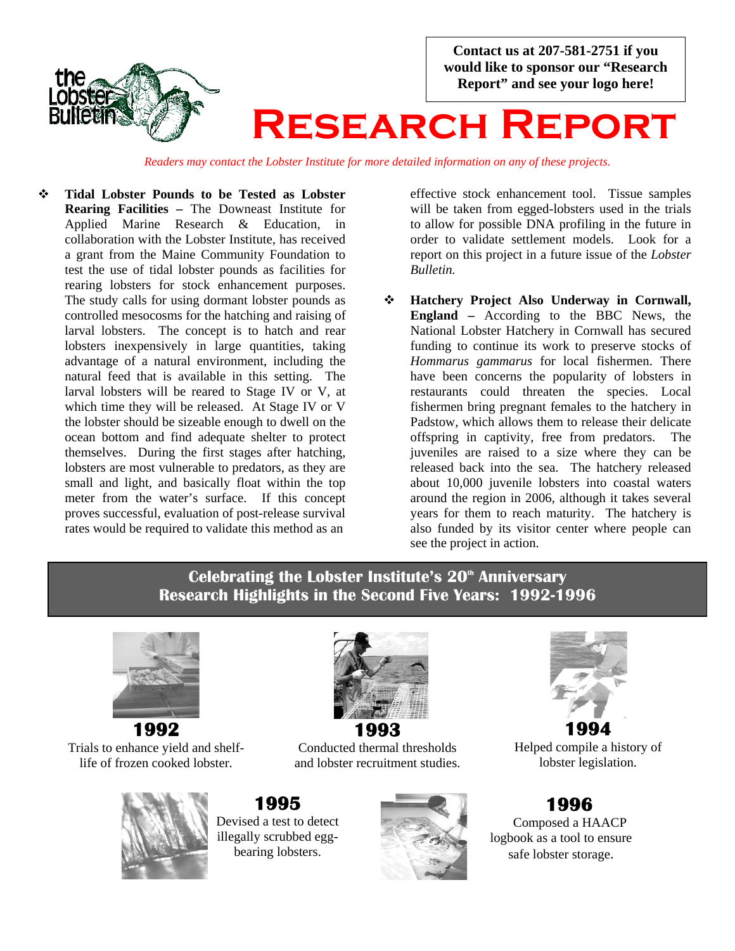

*Readers may contact the Lobster Institute for more detailed information on any of these projects.*

 **Tidal Lobster Pounds to be Tested as Lobster Rearing Facilities –** The Downeast Institute for Applied Marine Research & Education, in collaboration with the Lobster Institute, has received a grant from the Maine Community Foundation to test the use of tidal lobster pounds as facilities for rearing lobsters for stock enhancement purposes. The study calls for using dormant lobster pounds as controlled mesocosms for the hatching and raising of larval lobsters. The concept is to hatch and rear lobsters inexpensively in large quantities, taking advantage of a natural environment, including the natural feed that is available in this setting. The larval lobsters will be reared to Stage IV or V, at which time they will be released. At Stage IV or V the lobster should be sizeable enough to dwell on the ocean bottom and find adequate shelter to protect themselves. During the first stages after hatching, lobsters are most vulnerable to predators, as they are small and light, and basically float within the top meter from the water's surface. If this concept proves successful, evaluation of post-release survival rates would be required to validate this method as an

effective stock enhancement tool. Tissue samples will be taken from egged-lobsters used in the trials to allow for possible DNA profiling in the future in order to validate settlement models. Look for a report on this project in a future issue of the *Lobster Bulletin.* 

 **Hatchery Project Also Underway in Cornwall, England –** According to the BBC News, the National Lobster Hatchery in Cornwall has secured funding to continue its work to preserve stocks of *Hommarus gammarus* for local fishermen. There have been concerns the popularity of lobsters in restaurants could threaten the species. Local fishermen bring pregnant females to the hatchery in Padstow, which allows them to release their delicate offspring in captivity, free from predators. The juveniles are raised to a size where they can be released back into the sea. The hatchery released about 10,000 juvenile lobsters into coastal waters around the region in 2006, although it takes several years for them to reach maturity. The hatchery is also funded by its visitor center where people can see the project in action.

### **Celebrating the Lobster Institute's 20<sup>th</sup> Anniversary Research Highlights in the Second Five Years: 1992-1996**



Trials to enhance yield and shelflife of frozen cooked lobster.



# **1993**

Conducted thermal thresholds and lobster recruitment studies.

**1995** Devised a test to detect illegally scrubbed eggbearing lobsters.





Helped compile a history of lobster legislation.

# **1996**

 Composed a HAACP logbook as a tool to ensure safe lobster storage.